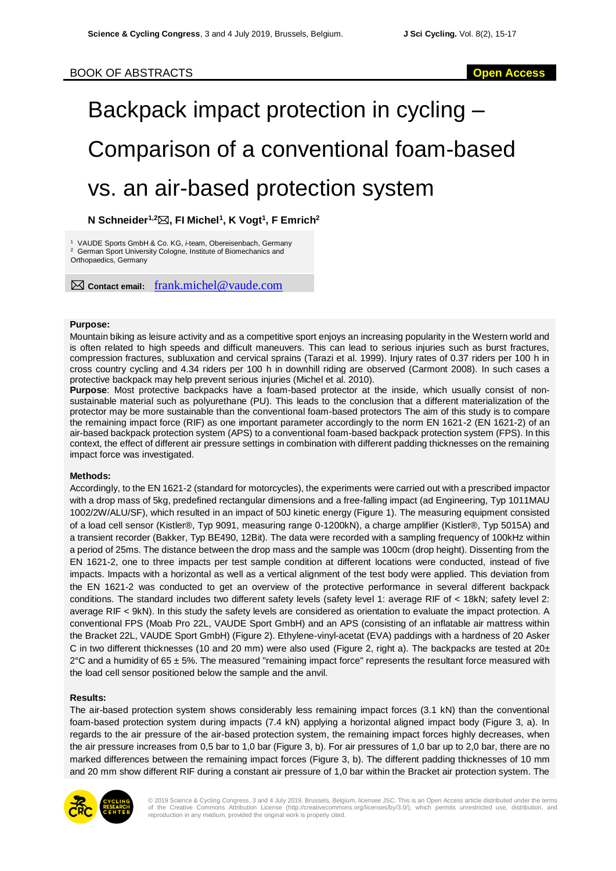# Backpack impact protection in cycling – Comparison of a conventional foam-based vs. an air-based protection system

**N Schneider1,2, FI Michel<sup>1</sup> , K Vogt<sup>1</sup> , F Emrich<sup>2</sup>**

<sup>1</sup> VAUDE Sports GmbH & Co. KG, *i*-team, Obereisenbach, Germany <sup>2</sup> German Sport University Cologne, Institute of Biomechanics and Orthopaedics, Germany

**Contact email:** [frank.michel@vaude.com](mailto:frank.michel@vaude.com)

#### **Purpose:**

Mountain biking as leisure activity and as a competitive sport enjoys an increasing popularity in the Western world and is often related to high speeds and difficult maneuvers. This can lead to serious injuries such as burst fractures, compression fractures, subluxation and cervical sprains (Tarazi et al. 1999). Injury rates of 0.37 riders per 100 h in cross country cycling and 4.34 riders per 100 h in downhill riding are observed (Carmont 2008). In such cases a protective backpack may help prevent serious injuries (Michel et al. 2010).

**Purpose**: Most protective backpacks have a foam-based protector at the inside, which usually consist of nonsustainable material such as polyurethane (PU). This leads to the conclusion that a different materialization of the protector may be more sustainable than the conventional foam-based protectors The aim of this study is to compare the remaining impact force (RIF) as one important parameter accordingly to the norm EN 1621-2 (EN 1621-2) of an air-based backpack protection system (APS) to a conventional foam-based backpack protection system (FPS). In this context, the effect of different air pressure settings in combination with different padding thicknesses on the remaining impact force was investigated.

### **Methods:**

Accordingly, to the EN 1621-2 (standard for motorcycles), the experiments were carried out with a prescribed impactor with a drop mass of 5kg, predefined rectangular dimensions and a free-falling impact (ad Engineering, Typ 1011MAU 1002/2W/ALU/SF), which resulted in an impact of 50J kinetic energy (Figure 1). The measuring equipment consisted of a load cell sensor (Kistler®, Typ 9091, measuring range 0-1200kN), a charge amplifier (Kistler®, Typ 5015A) and a transient recorder (Bakker, Typ BE490, 12Bit). The data were recorded with a sampling frequency of 100kHz within a period of 25ms. The distance between the drop mass and the sample was 100cm (drop height). Dissenting from the EN 1621-2, one to three impacts per test sample condition at different locations were conducted, instead of five impacts. Impacts with a horizontal as well as a vertical alignment of the test body were applied. This deviation from the EN 1621-2 was conducted to get an overview of the protective performance in several different backpack conditions. The standard includes two different safety levels (safety level 1: average RIF of < 18kN; safety level 2: average RIF < 9kN). In this study the safety levels are considered as orientation to evaluate the impact protection. A conventional FPS (Moab Pro 22L, VAUDE Sport GmbH) and an APS (consisting of an inflatable air mattress within the Bracket 22L, VAUDE Sport GmbH) (Figure 2). Ethylene-vinyl-acetat (EVA) paddings with a hardness of 20 Asker C in two different thicknesses (10 and 20 mm) were also used (Figure 2, right a). The backpacks are tested at  $20\pm$  $2^{\circ}$ C and a humidity of 65  $\pm$  5%. The measured "remaining impact force" represents the resultant force measured with the load cell sensor positioned below the sample and the anvil.

### **Results:**

The air-based protection system shows considerably less remaining impact forces (3.1 kN) than the conventional foam-based protection system during impacts (7.4 kN) applying a horizontal aligned impact body (Figure 3, a). In regards to the air pressure of the air-based protection system, the remaining impact forces highly decreases, when the air pressure increases from 0,5 bar to 1,0 bar (Figure 3, b). For air pressures of 1,0 bar up to 2,0 bar, there are no marked differences between the remaining impact forces (Figure 3, b). The different padding thicknesses of 10 mm and 20 mm show different RIF during a constant air pressure of 1,0 bar within the Bracket air protection system. The



© 2019 Science & Cycling Congress, 3 and 4 July 2019, Brussels, Belgium, licensee JSC. This is an Open Access article distributed under the terms of the Creative Commons Attribution License (http://creativecommons.org/licenses/by/3.0/), which permits unrestricted use, distribution, and reproduction in any medium, provided the original work is properly cited.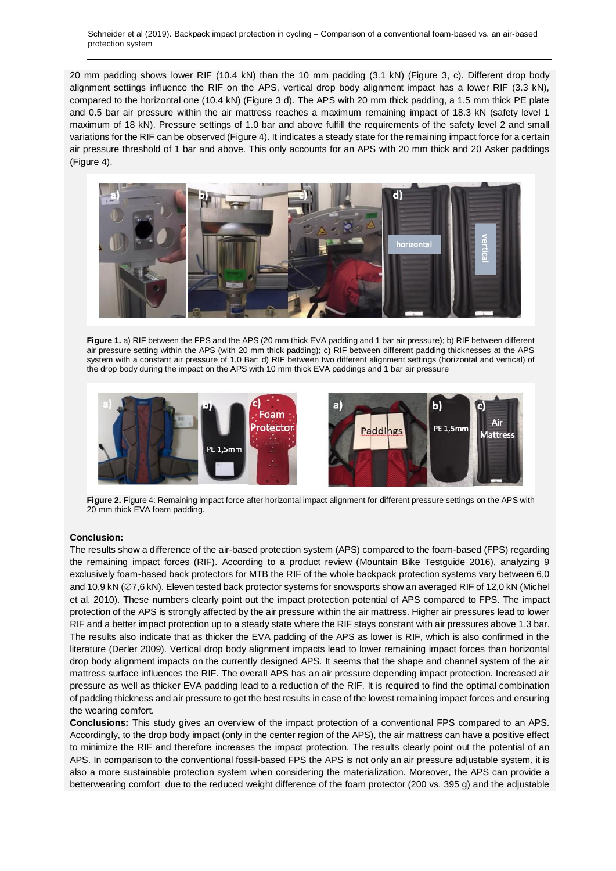20 mm padding shows lower RIF (10.4 kN) than the 10 mm padding (3.1 kN) (Figure 3, c). Different drop body alignment settings influence the RIF on the APS, vertical drop body alignment impact has a lower RIF (3.3 kN), compared to the horizontal one (10.4 kN) (Figure 3 d). The APS with 20 mm thick padding, a 1.5 mm thick PE plate and 0.5 bar air pressure within the air mattress reaches a maximum remaining impact of 18.3 kN (safety level 1 maximum of 18 kN). Pressure settings of 1.0 bar and above fulfill the requirements of the safety level 2 and small variations for the RIF can be observed (Figure 4). It indicates a steady state for the remaining impact force for a certain air pressure threshold of 1 bar and above. This only accounts for an APS with 20 mm thick and 20 Asker paddings (Figure 4).



**Figure 1.** a) RIF between the FPS and the APS (20 mm thick EVA padding and 1 bar air pressure); b) RIF between different air pressure setting within the APS (with 20 mm thick padding); c) RIF between different padding thicknesses at the APS system with a constant air pressure of 1,0 Bar; d) RIF between two different alignment settings (horizontal and vertical) of the drop body during the impact on the APS with 10 mm thick EVA paddings and 1 bar air pressure



**Figure 2.** Figure 4: Remaining impact force after horizontal impact alignment for different pressure settings on the APS with 20 mm thick EVA foam padding.

## **Conclusion:**

The results show a difference of the air-based protection system (APS) compared to the foam-based (FPS) regarding the remaining impact forces (RIF). According to a product review (Mountain Bike Testguide 2016), analyzing 9 exclusively foam-based back protectors for MTB the RIF of the whole backpack protection systems vary between 6,0 and 10,9 kN ( $\varnothing$ 7,6 kN). Eleven tested back protector systems for snowsports show an averaged RIF of 12,0 kN (Michel et al. 2010). These numbers clearly point out the impact protection potential of APS compared to FPS. The impact protection of the APS is strongly affected by the air pressure within the air mattress. Higher air pressures lead to lower RIF and a better impact protection up to a steady state where the RIF stays constant with air pressures above 1,3 bar. The results also indicate that as thicker the EVA padding of the APS as lower is RIF, which is also confirmed in the literature (Derler 2009). Vertical drop body alignment impacts lead to lower remaining impact forces than horizontal drop body alignment impacts on the currently designed APS. It seems that the shape and channel system of the air mattress surface influences the RIF. The overall APS has an air pressure depending impact protection. Increased air pressure as well as thicker EVA padding lead to a reduction of the RIF. It is required to find the optimal combination of padding thickness and air pressure to get the best results in case of the lowest remaining impact forces and ensuring the wearing comfort.

**Conclusions:** This study gives an overview of the impact protection of a conventional FPS compared to an APS. Accordingly, to the drop body impact (only in the center region of the APS), the air mattress can have a positive effect to minimize the RIF and therefore increases the impact protection. The results clearly point out the potential of an APS. In comparison to the conventional fossil-based FPS the APS is not only an air pressure adjustable system, it is also a more sustainable protection system when considering the materialization. Moreover, the APS can provide a betterwearing comfort due to the reduced weight difference of the foam protector (200 vs. 395 g) and the adjustable